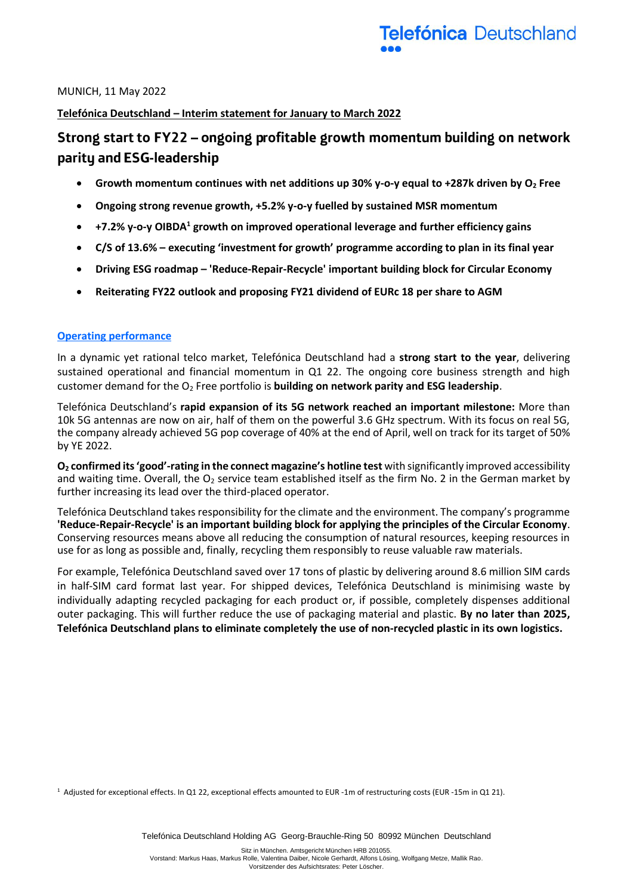MUNICH, 11 May 2022

### **Telefónica Deutschland – Interim statement for January to March 2022**

# Strong start to FY22 - ongoing profitable growth momentum building on network parity and ESG-leadership

- **Growth momentum continues with net additions up 30% y-o-y equal to +287k driven by O<sup>2</sup> Free**
- **Ongoing strong revenue growth, +5.2% y-o-y fuelled by sustained MSR momentum**
- **+7.2% y-o-y OIBDA<sup>1</sup> growth on improved operational leverage and further efficiency gains**
- **C/S of 13.6% – executing 'investment for growth' programme according to plan in its final year**
- **Driving ESG roadmap – 'Reduce-Repair-Recycle' important building block for Circular Economy**
- **Reiterating FY22 outlook and proposing FY21 dividend of EURc 18 per share to AGM**

#### **Operating performance**

In a dynamic yet rational telco market, Telefónica Deutschland had a **strong start to the year**, delivering sustained operational and financial momentum in Q1 22. The ongoing core business strength and high customer demand for the O<sup>2</sup> Free portfolio is **building on network parity and ESG leadership**.

Telefónica Deutschland's **rapid expansion of its 5G network reached an important milestone:** More than 10k 5G antennas are now on air, half of them on the powerful 3.6 GHz spectrum. With its focus on real 5G, the company already achieved 5G pop coverage of 40% at the end of April, well on track for its target of 50% by YE 2022.

**O<sup>2</sup> confirmed its 'good'-rating in the connect magazine's hotline test** with significantly improved accessibility and waiting time. Overall, the  $O_2$  service team established itself as the firm No. 2 in the German market by further increasing its lead over the third-placed operator.

Telefónica Deutschland takes responsibility for the climate and the environment. The company's programme **'Reduce-Repair-Recycle' is an important building block for applying the principles of the Circular Economy**. Conserving resources means above all reducing the consumption of natural resources, keeping resources in use for as long as possible and, finally, recycling them responsibly to reuse valuable raw materials.

For example, Telefónica Deutschland saved over 17 tons of plastic by delivering around 8.6 million SIM cards in half-SIM card format last year. For shipped devices, Telefónica Deutschland is minimising waste by individually adapting recycled packaging for each product or, if possible, completely dispenses additional outer packaging. This will further reduce the use of packaging material and plastic. **By no later than 2025, Telefónica Deutschland plans to eliminate completely the use of non-recycled plastic in its own logistics.**

<sup>1</sup> Adjusted for exceptional effects. In Q1 22, exceptional effects amounted to EUR -1m of restructuring costs (EUR -15m in Q1 21).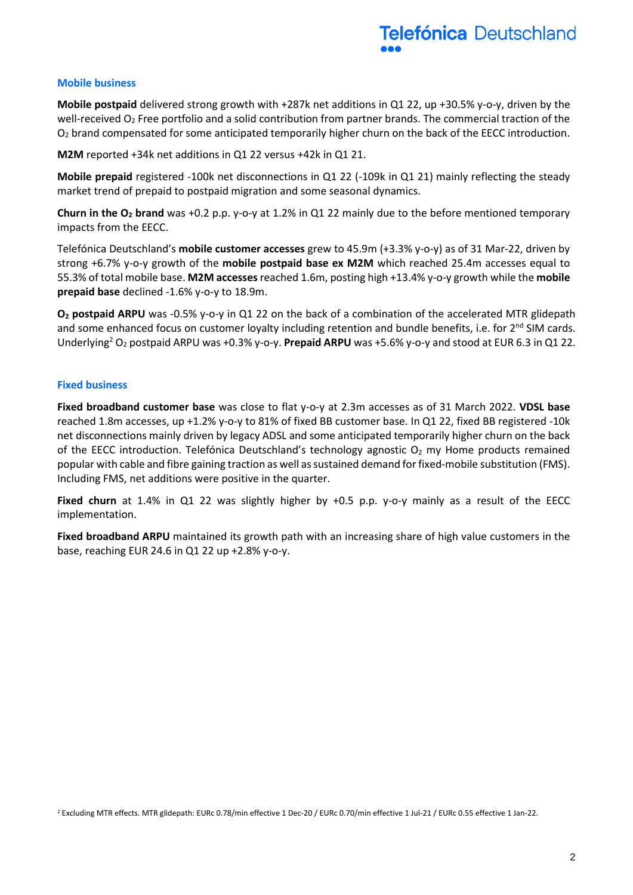#### **Mobile business**

**Mobile postpaid** delivered strong growth with +287k net additions in Q1 22, up +30.5% y-o-y, driven by the well-received  $O_2$  Free portfolio and a solid contribution from partner brands. The commercial traction of the O<sup>2</sup> brand compensated for some anticipated temporarily higher churn on the back of the EECC introduction.

**M2M** reported +34k net additions in Q1 22 versus +42k in Q1 21.

**Mobile prepaid** registered -100k net disconnections in Q1 22 (-109k in Q1 21) mainly reflecting the steady market trend of prepaid to postpaid migration and some seasonal dynamics.

**Churn in the O<sup>2</sup> brand** was +0.2 p.p. y-o-y at 1.2% in Q1 22 mainly due to the before mentioned temporary impacts from the EECC.

Telefónica Deutschland's **mobile customer accesses** grew to 45.9m (+3.3% y-o-y) as of 31 Mar-22, driven by strong +6.7% y-o-y growth of the **mobile postpaid base ex M2M** which reached 25.4m accesses equal to 55.3% of total mobile base. **M2M accesses** reached 1.6m, posting high +13.4% y-o-y growth while the **mobile prepaid base** declined -1.6% y-o-y to 18.9m.

**O<sup>2</sup> postpaid ARPU** was -0.5% y-o-y in Q1 22 on the back of a combination of the accelerated MTR glidepath and some enhanced focus on customer loyalty including retention and bundle benefits, i.e. for 2<sup>nd</sup> SIM cards. Underlying<sup>2</sup> O<sup>2</sup> postpaid ARPU was +0.3% y-o-y. **Prepaid ARPU** was +5.6% y-o-y and stood at EUR 6.3 in Q1 22.

#### **Fixed business**

**Fixed broadband customer base** was close to flat y-o-y at 2.3m accesses as of 31 March 2022. **VDSL base** reached 1.8m accesses, up +1.2% y-o-y to 81% of fixed BB customer base. In Q1 22, fixed BB registered -10k net disconnections mainly driven by legacy ADSL and some anticipated temporarily higher churn on the back of the EECC introduction. Telefónica Deutschland's technology agnostic  $O<sub>2</sub>$  my Home products remained popular with cable and fibre gaining traction as well as sustained demand for fixed-mobile substitution (FMS). Including FMS, net additions were positive in the quarter.

**Fixed churn** at 1.4% in Q1 22 was slightly higher by +0.5 p.p. y-o-y mainly as a result of the EECC implementation.

**Fixed broadband ARPU** maintained its growth path with an increasing share of high value customers in the base, reaching EUR 24.6 in Q1 22 up +2.8% y-o-y.

<sup>2</sup> Excluding MTR effects. MTR glidepath: EURc 0.78/min effective 1 Dec-20 / EURc 0.70/min effective 1 Jul-21 / EURc 0.55 effective 1 Jan-22.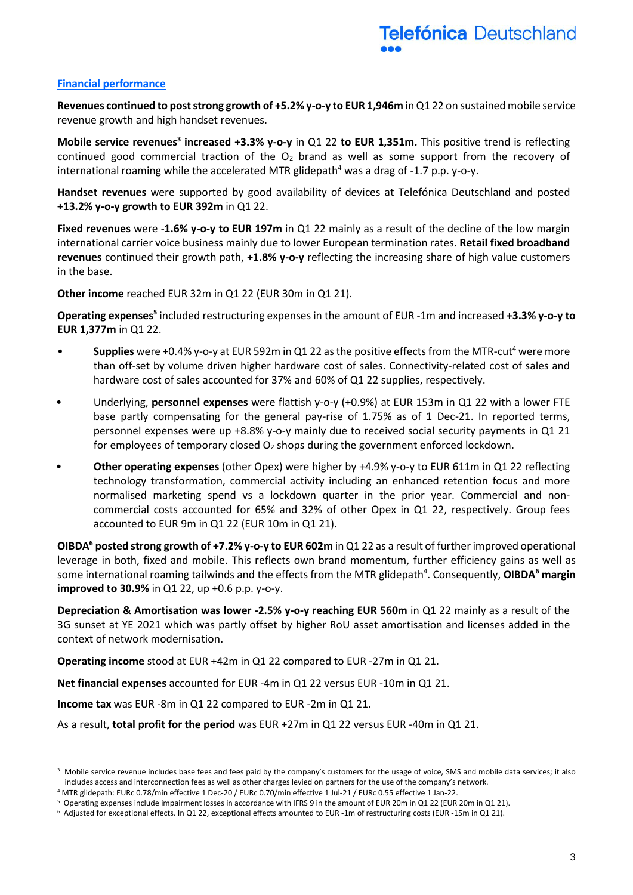#### **Financial performance**

**Revenues continued to post strong growth of +5.2% y-o-y to EUR 1,946m** in Q1 22 on sustained mobile service revenue growth and high handset revenues.

**Mobile service revenues<sup>3</sup> increased +3.3% y-o-y** in Q1 22 to EUR 1,351m. This positive trend is reflecting continued good commercial traction of the  $O<sub>2</sub>$  brand as well as some support from the recovery of international roaming while the accelerated MTR glidepath<sup>4</sup> was a drag of -1.7 p.p. y-o-y.

**Handset revenues** were supported by good availability of devices at Telefónica Deutschland and posted **+13.2% y-o-y growth to EUR 392m** in Q1 22.

**Fixed revenues** were -**1.6% y-o-y to EUR 197m** in Q1 22 mainly as a result of the decline of the low margin international carrier voice business mainly due to lower European termination rates. **Retail fixed broadband revenues** continued their growth path, **+1.8% y-o-y** reflecting the increasing share of high value customers in the base.

**Other income** reached EUR 32m in Q1 22 (EUR 30m in Q1 21).

**Operating expenses<sup>5</sup>** included restructuring expenses in the amount of EUR -1m and increased **+3.3% y-o-y to EUR 1,377m** in Q1 22.

- **Supplies** were +0.4% y-o-y at EUR 592m in Q1 22 as the positive effects from the MTR-cut<sup>4</sup> were more than off-set by volume driven higher hardware cost of sales. Connectivity-related cost of sales and hardware cost of sales accounted for 37% and 60% of Q1 22 supplies, respectively.
- Underlying, **personnel expenses** were flattish y-o-y (+0.9%) at EUR 153m in Q1 22 with a lower FTE base partly compensating for the general pay-rise of 1.75% as of 1 Dec-21. In reported terms, personnel expenses were up +8.8% y-o-y mainly due to received social security payments in Q1 21 for employees of temporary closed  $O_2$  shops during the government enforced lockdown.
- **Other operating expenses** (other Opex) were higher by +4.9% y-o-y to EUR 611m in Q1 22 reflecting technology transformation, commercial activity including an enhanced retention focus and more normalised marketing spend vs a lockdown quarter in the prior year. Commercial and noncommercial costs accounted for 65% and 32% of other Opex in Q1 22, respectively. Group fees accounted to EUR 9m in Q1 22 (EUR 10m in Q1 21).

**OIBDA<sup>6</sup> posted strong growth of +7.2% y-o-y to EUR 602m** in Q1 22 as a result of further improved operational leverage in both, fixed and mobile. This reflects own brand momentum, further efficiency gains as well as some international roaming tailwinds and the effects from the MTR glidepath<sup>4</sup>. Consequently, **OIBDA<sup>6</sup> margin improved to 30.9%** in Q1 22, up +0.6 p.p. y-o-y.

**Depreciation & Amortisation was lower -2.5% y-o-y reaching EUR 560m** in Q1 22 mainly as a result of the 3G sunset at YE 2021 which was partly offset by higher RoU asset amortisation and licenses added in the context of network modernisation.

**Operating income** stood at EUR +42m in Q1 22 compared to EUR -27m in Q1 21.

**Net financial expenses** accounted for EUR -4m in Q1 22 versus EUR -10m in Q1 21.

**Income tax** was EUR -8m in Q1 22 compared to EUR -2m in Q1 21.

As a result, **total profit for the period** was EUR +27m in Q1 22 versus EUR -40m in Q1 21.

<sup>&</sup>lt;sup>3</sup> Mobile service revenue includes base fees and fees paid by the company's customers for the usage of voice, SMS and mobile data services; it also includes access and interconnection fees as well as other charges levied on partners for the use of the company's network.

<sup>4</sup> MTR glidepath: EURc 0.78/min effective 1 Dec-20 / EURc 0.70/min effective 1 Jul-21 / EURc 0.55 effective 1 Jan-22.

<sup>5</sup> Operating expenses include impairment losses in accordance with IFRS 9 in the amount of EUR 20m in Q1 22 (EUR 20m in Q1 21).

<sup>6</sup> Adjusted for exceptional effects. In Q1 22, exceptional effects amounted to EUR -1m of restructuring costs (EUR -15m in Q1 21).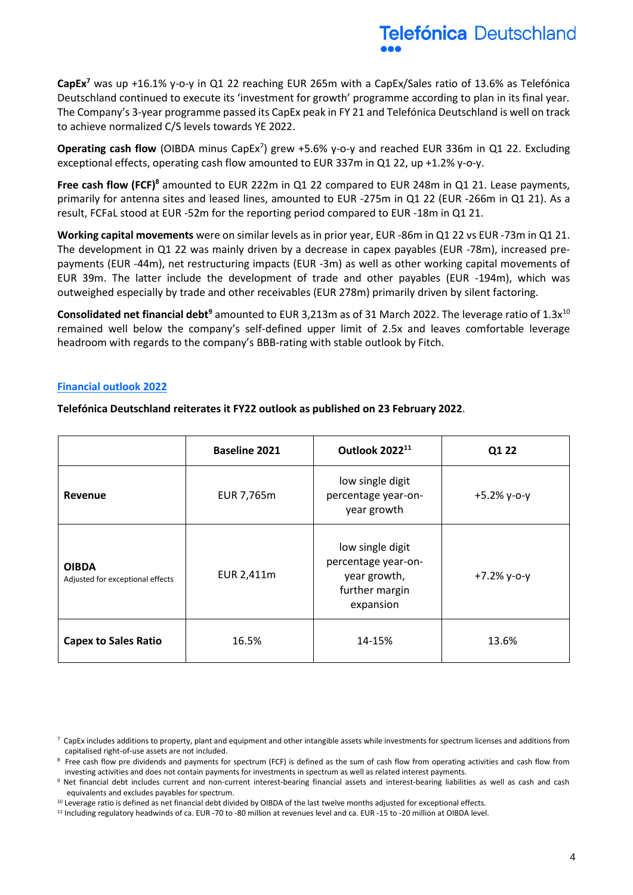

**CapEx<sup>7</sup>** was up +16.1% y-o-y in Q1 22 reaching EUR 265m with a CapEx/Sales ratio of 13.6% as Telefónica Deutschland continued to execute its 'investment for growth' programme according to plan in its final year. The Company's 3-year programme passed its CapEx peak in FY 21 and Telefónica Deutschland is well on track to achieve normalized C/S levels towards YE 2022.

Operating cash flow (OIBDA minus CapEx<sup>7</sup>) grew +5.6% y-o-y and reached EUR 336m in Q1 22. Excluding exceptional effects, operating cash flow amounted to EUR 337m in Q1 22, up +1.2% y-o-y.

**Free cash flow (FCF)<sup>8</sup>** amounted to EUR 222m in Q1 22 compared to EUR 248m in Q1 21. Lease payments, primarily for antenna sites and leased lines, amounted to EUR -275m in Q1 22 (EUR -266m in Q1 21). As a result, FCFaL stood at EUR -52m for the reporting period compared to EUR -18m in Q1 21.

**Working capital movements** were on similar levels as in prior year, EUR -86m in Q1 22 vs EUR -73m in Q1 21. The development in Q1 22 was mainly driven by a decrease in capex payables (EUR -78m), increased prepayments (EUR -44m), net restructuring impacts (EUR -3m) as well as other working capital movements of EUR 39m. The latter include the development of trade and other payables (EUR -194m), which was outweighed especially by trade and other receivables (EUR 278m) primarily driven by silent factoring.

**Consolidated net financial debt<sup>9</sup>** amounted to EUR 3,213m as of 31 March 2022. The leverage ratio of 1.3x<sup>10</sup> remained well below the company's self-defined upper limit of 2.5x and leaves comfortable leverage headroom with regards to the company's BBB-rating with stable outlook by Fitch.

#### **Financial outlook 2022**

**Telefónica Deutschland reiterates it FY22 outlook as published on 23 February 2022**.

|                                                  | <b>Baseline 2021</b> | Outlook 2022 <sup>11</sup>                                                             | Q1 22         |
|--------------------------------------------------|----------------------|----------------------------------------------------------------------------------------|---------------|
| Revenue                                          | EUR 7,765m           | low single digit<br>percentage year-on-<br>year growth                                 | $+5.2%$ y-o-y |
| <b>OIBDA</b><br>Adjusted for exceptional effects | EUR 2,411m           | low single digit<br>percentage year-on-<br>year growth,<br>further margin<br>expansion | $+7.2%$ y-o-y |
| <b>Capex to Sales Ratio</b>                      | 16.5%                | 14-15%                                                                                 | 13.6%         |

 $^7$  CapEx includes additions to property, plant and equipment and other intangible assets while investments for spectrum licenses and additions from capitalised right-of-use assets are not included.

<sup>&</sup>lt;sup>8</sup> Free cash flow pre dividends and payments for spectrum (FCF) is defined as the sum of cash flow from operating activities and cash flow from investing activities and does not contain payments for investments in spectrum as well as related interest payments.

<sup>9</sup> Net financial debt includes current and non-current interest-bearing financial assets and interest-bearing liabilities as well as cash and cash equivalents and excludes payables for spectrum.

<sup>&</sup>lt;sup>10</sup> Leverage ratio is defined as net financial debt divided by OIBDA of the last twelve months adjusted for exceptional effects.

<sup>&</sup>lt;sup>11</sup> Including regulatory headwinds of ca. EUR -70 to -80 million at revenues level and ca. EUR -15 to -20 million at OIBDA level.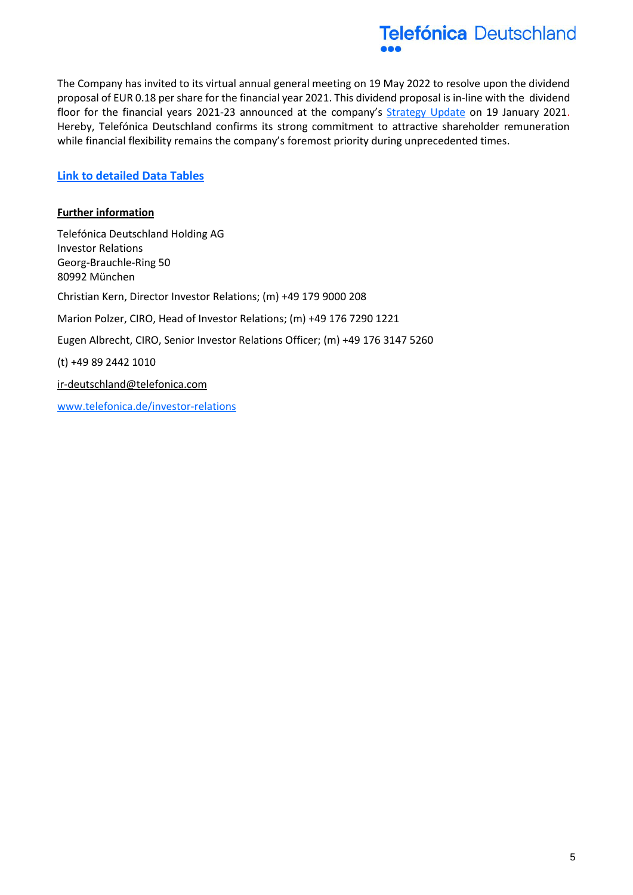

The Company has invited to its virtual annual general meeting on 19 May 2022 to resolve upon the dividend proposal of EUR 0.18 per share for the financial year 2021. This dividend proposal is in-line with the dividend floor for the financial years 2021-23 announced at the company's [Strategy Update](https://www.telefonica.de/news/investor-relations-en/2021/01/dgap-adhoc-telefonica-deutschland-holding-ag-telefonica-deutschland-announces-enhanced-dividend-proposal.html?cat=ad-hoc-releases) on 19 January 2021. Hereby, Telefónica Deutschland confirms its strong commitment to attractive shareholder remuneration while financial flexibility remains the company's foremost priority during unprecedented times.

## **[Link to detailed Data Tables](https://www.telefonica.de/investor-relations-en/publications/financial-publications.html)**

### **Further information**

Telefónica Deutschland Holding AG Investor Relations Georg-Brauchle-Ring 50 80992 München Christian Kern, Director Investor Relations; (m) +49 179 9000 208 Marion Polzer, CIRO, Head of Investor Relations; (m) +49 176 7290 1221 Eugen Albrecht, CIRO, Senior Investor Relations Officer; (m) +49 176 3147 5260 (t) +49 89 2442 1010 [ir-deutschland@telefonica.com](mailto:ir-deutschland@telefonica.com) [www.telefonica.de/investor-relations](http://www.telefonica.de/investor-relations)